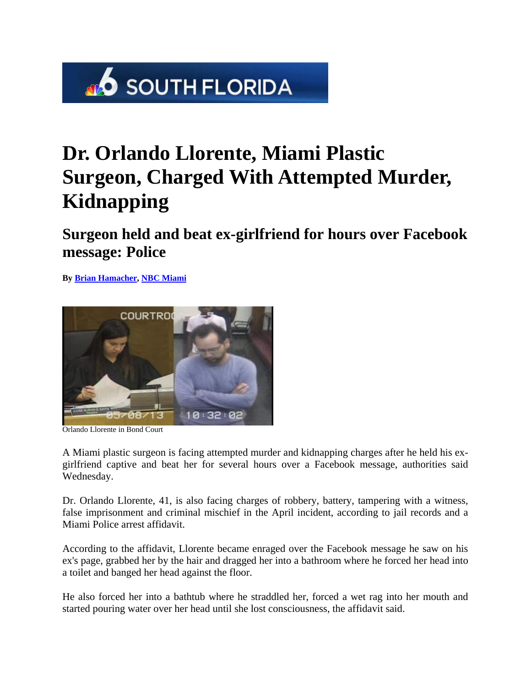

## **Dr. Orlando Llorente, Miami Plastic Surgeon, Charged With Attempted Murder, Kidnapping**

**Surgeon held and beat ex-girlfriend for hours over Facebook message: Police** 

**By Brian Hamacher, NBC Miami** 



Orlando Llorente in Bond Court

A Miami plastic surgeon is facing attempted murder and kidnapping charges after he held his exgirlfriend captive and beat her for several hours over a Facebook message, authorities said Wednesday.

Dr. Orlando Llorente, 41, is also facing charges of robbery, battery, tampering with a witness, false imprisonment and criminal mischief in the April incident, according to jail records and a Miami Police arrest affidavit.

According to the affidavit, Llorente became enraged over the Facebook message he saw on his ex's page, grabbed her by the hair and dragged her into a bathroom where he forced her head into a toilet and banged her head against the floor.

He also forced her into a bathtub where he straddled her, forced a wet rag into her mouth and started pouring water over her head until she lost consciousness, the affidavit said.